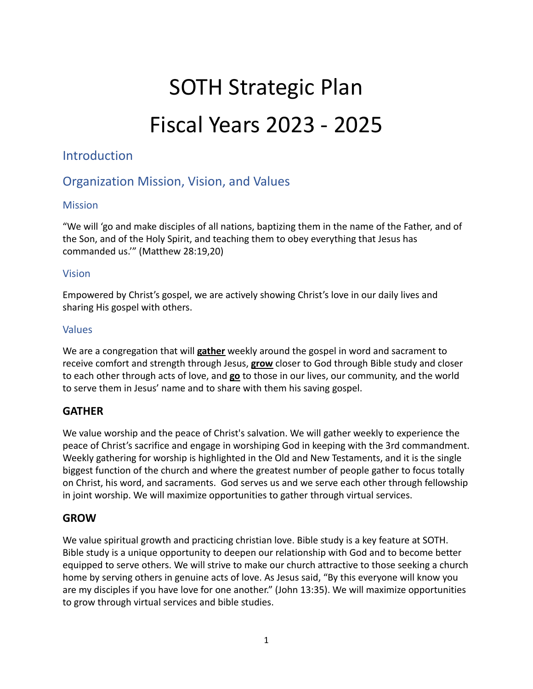# SOTH Strategic Plan Fiscal Years 2023 - 2025

# Introduction

# Organization Mission, Vision, and Values

# **Mission**

"We will 'go and make disciples of all nations, baptizing them in the name of the Father, and of the Son, and of the Holy Spirit, and teaching them to obey everything that Jesus has commanded us.'" (Matthew 28:19,20)

## Vision

Empowered by Christ's gospel, we are actively showing Christ's love in our daily lives and sharing His gospel with others.

# Values

We are a congregation that will **gather** weekly around the gospel in word and sacrament to receive comfort and strength through Jesus, **grow** closer to God through Bible study and closer to each other through acts of love, and **go** to those in our lives, our community, and the world to serve them in Jesus' name and to share with them his saving gospel.

# **GATHER**

We value worship and the peace of Christ's salvation. We will gather weekly to experience the peace of Christ's sacrifice and engage in worshiping God in keeping with the 3rd commandment. Weekly gathering for worship is highlighted in the Old and New Testaments, and it is the single biggest function of the church and where the greatest number of people gather to focus totally on Christ, his word, and sacraments. God serves us and we serve each other through fellowship in joint worship. We will maximize opportunities to gather through virtual services.

# **GROW**

We value spiritual growth and practicing christian love. Bible study is a key feature at SOTH. Bible study is a unique opportunity to deepen our relationship with God and to become better equipped to serve others. We will strive to make our church attractive to those seeking a church home by serving others in genuine acts of love. As Jesus said, "By this everyone will know you are my disciples if you have love for one another." (John 13:35). We will maximize opportunities to grow through virtual services and bible studies.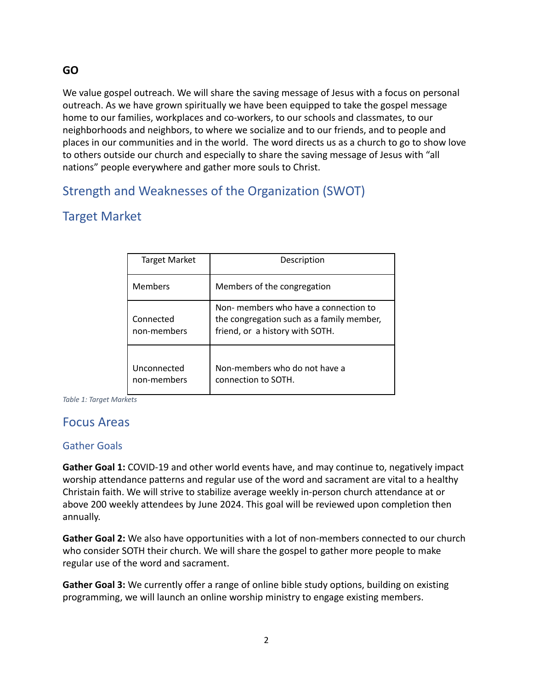# **GO**

We value gospel outreach. We will share the saving message of Jesus with a focus on personal outreach. As we have grown spiritually we have been equipped to take the gospel message home to our families, workplaces and co-workers, to our schools and classmates, to our neighborhoods and neighbors, to where we socialize and to our friends, and to people and places in our communities and in the world. The word directs us as a church to go to show love to others outside our church and especially to share the saving message of Jesus with "all nations" people everywhere and gather more souls to Christ.

# Strength and Weaknesses of the Organization (SWOT)

# Target Market

| <b>Target Market</b>       | Description                                                                                                           |
|----------------------------|-----------------------------------------------------------------------------------------------------------------------|
| <b>Members</b>             | Members of the congregation                                                                                           |
| Connected<br>non-members   | Non- members who have a connection to<br>the congregation such as a family member,<br>friend, or a history with SOTH. |
| Unconnected<br>non-members | Non-members who do not have a<br>connection to SOTH.                                                                  |

*Table 1: Target Markets*

# Focus Areas

# Gather Goals

**Gather Goal 1:** COVID-19 and other world events have, and may continue to, negatively impact worship attendance patterns and regular use of the word and sacrament are vital to a healthy Christain faith. We will strive to stabilize average weekly in-person church attendance at or above 200 weekly attendees by June 2024. This goal will be reviewed upon completion then annually.

**Gather Goal 2:** We also have opportunities with a lot of non-members connected to our church who consider SOTH their church. We will share the gospel to gather more people to make regular use of the word and sacrament.

**Gather Goal 3:** We currently offer a range of online bible study options, building on existing programming, we will launch an online worship ministry to engage existing members.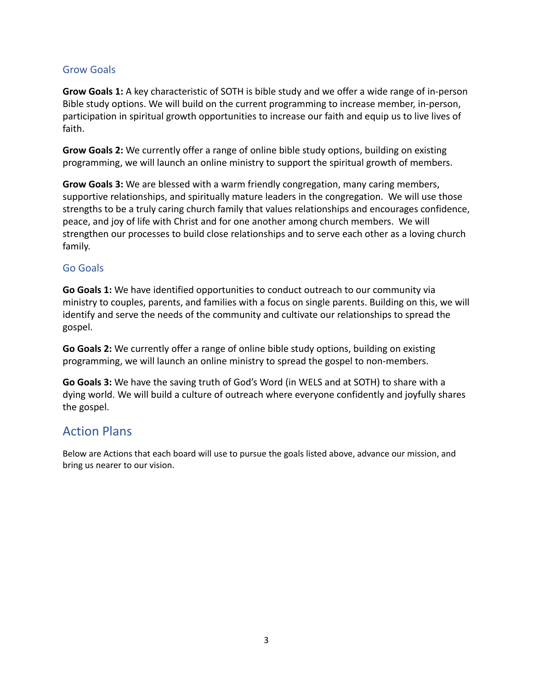# Grow Goals

**Grow Goals 1:** A key characteristic of SOTH is bible study and we offer a wide range of in-person Bible study options. We will build on the current programming to increase member, in-person, participation in spiritual growth opportunities to increase our faith and equip us to live lives of faith.

**Grow Goals 2:** We currently offer a range of online bible study options, building on existing programming, we will launch an online ministry to support the spiritual growth of members.

**Grow Goals 3:** We are blessed with a warm friendly congregation, many caring members, supportive relationships, and spiritually mature leaders in the congregation. We will use those strengths to be a truly caring church family that values relationships and encourages confidence, peace, and joy of life with Christ and for one another among church members. We will strengthen our processes to build close relationships and to serve each other as a loving church family.

## Go Goals

**Go Goals 1:** We have identified opportunities to conduct outreach to our community via ministry to couples, parents, and families with a focus on single parents. Building on this, we will identify and serve the needs of the community and cultivate our relationships to spread the gospel.

**Go Goals 2:** We currently offer a range of online bible study options, building on existing programming, we will launch an online ministry to spread the gospel to non-members.

**Go Goals 3:** We have the saving truth of God's Word (in WELS and at SOTH) to share with a dying world. We will build a culture of outreach where everyone confidently and joyfully shares the gospel.

# Action Plans

Below are Actions that each board will use to pursue the goals listed above, advance our mission, and bring us nearer to our vision.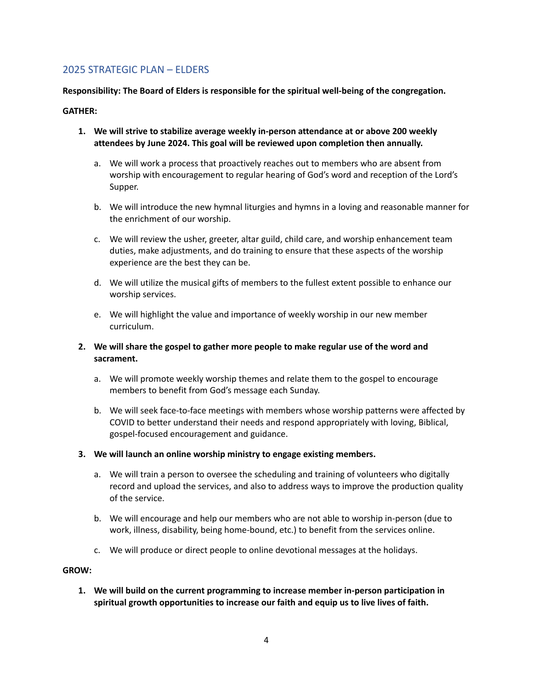## 2025 STRATEGIC PLAN – ELDERS

#### **Responsibility: The Board of Elders is responsible for the spiritual well-being of the congregation.**

#### **GATHER:**

- **1. We will strive to stabilize average weekly in-person attendance at or above 200 weekly attendees by June 2024. This goal will be reviewed upon completion then annually.**
	- a. We will work a process that proactively reaches out to members who are absent from worship with encouragement to regular hearing of God's word and reception of the Lord's Supper.
	- b. We will introduce the new hymnal liturgies and hymns in a loving and reasonable manner for the enrichment of our worship.
	- c. We will review the usher, greeter, altar guild, child care, and worship enhancement team duties, make adjustments, and do training to ensure that these aspects of the worship experience are the best they can be.
	- d. We will utilize the musical gifts of members to the fullest extent possible to enhance our worship services.
	- e. We will highlight the value and importance of weekly worship in our new member curriculum.
- **2. We will share the gospel to gather more people to make regular use of the word and sacrament.**
	- a. We will promote weekly worship themes and relate them to the gospel to encourage members to benefit from God's message each Sunday.
	- b. We will seek face-to-face meetings with members whose worship patterns were affected by COVID to better understand their needs and respond appropriately with loving, Biblical, gospel-focused encouragement and guidance.
- **3. We will launch an online worship ministry to engage existing members.**
	- a. We will train a person to oversee the scheduling and training of volunteers who digitally record and upload the services, and also to address ways to improve the production quality of the service.
	- b. We will encourage and help our members who are not able to worship in-person (due to work, illness, disability, being home-bound, etc.) to benefit from the services online.
	- c. We will produce or direct people to online devotional messages at the holidays.

#### **GROW:**

**1. We will build on the current programming to increase member in-person participation in spiritual growth opportunities to increase our faith and equip us to live lives of faith.**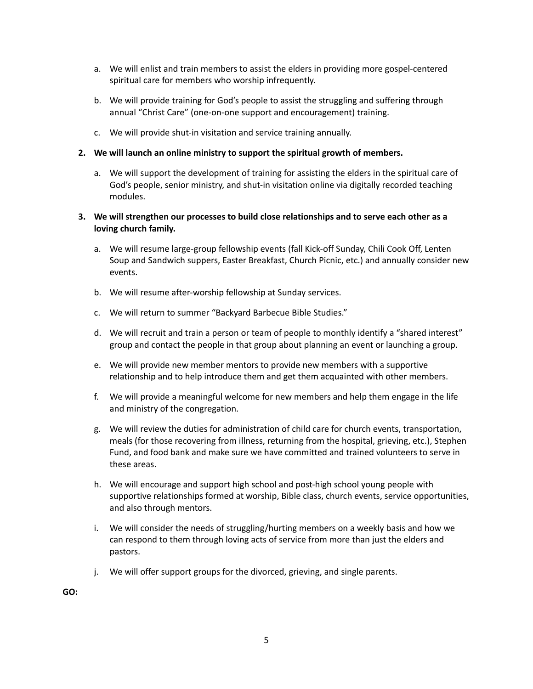- a. We will enlist and train members to assist the elders in providing more gospel-centered spiritual care for members who worship infrequently.
- b. We will provide training for God's people to assist the struggling and suffering through annual "Christ Care" (one-on-one support and encouragement) training.
- c. We will provide shut-in visitation and service training annually.

#### **2. We will launch an online ministry to support the spiritual growth of members.**

a. We will support the development of training for assisting the elders in the spiritual care of God's people, senior ministry, and shut-in visitation online via digitally recorded teaching modules.

#### **3. We will strengthen our processes to build close relationships and to serve each other as a loving church family.**

- a. We will resume large-group fellowship events (fall Kick-off Sunday, Chili Cook Off, Lenten Soup and Sandwich suppers, Easter Breakfast, Church Picnic, etc.) and annually consider new events.
- b. We will resume after-worship fellowship at Sunday services.
- c. We will return to summer "Backyard Barbecue Bible Studies."
- d. We will recruit and train a person or team of people to monthly identify a "shared interest" group and contact the people in that group about planning an event or launching a group.
- e. We will provide new member mentors to provide new members with a supportive relationship and to help introduce them and get them acquainted with other members.
- f. We will provide a meaningful welcome for new members and help them engage in the life and ministry of the congregation.
- g. We will review the duties for administration of child care for church events, transportation, meals (for those recovering from illness, returning from the hospital, grieving, etc.), Stephen Fund, and food bank and make sure we have committed and trained volunteers to serve in these areas.
- h. We will encourage and support high school and post-high school young people with supportive relationships formed at worship, Bible class, church events, service opportunities, and also through mentors.
- i. We will consider the needs of struggling/hurting members on a weekly basis and how we can respond to them through loving acts of service from more than just the elders and pastors.
- j. We will offer support groups for the divorced, grieving, and single parents.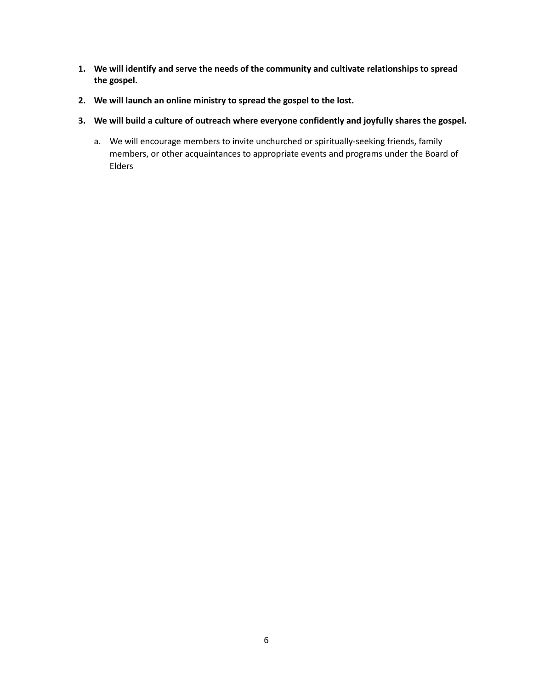- **1. We will identify and serve the needs of the community and cultivate relationships to spread the gospel.**
- **2. We will launch an online ministry to spread the gospel to the lost.**
- **3. We will build a culture of outreach where everyone confidently and joyfully shares the gospel.**
	- a. We will encourage members to invite unchurched or spiritually-seeking friends, family members, or other acquaintances to appropriate events and programs under the Board of Elders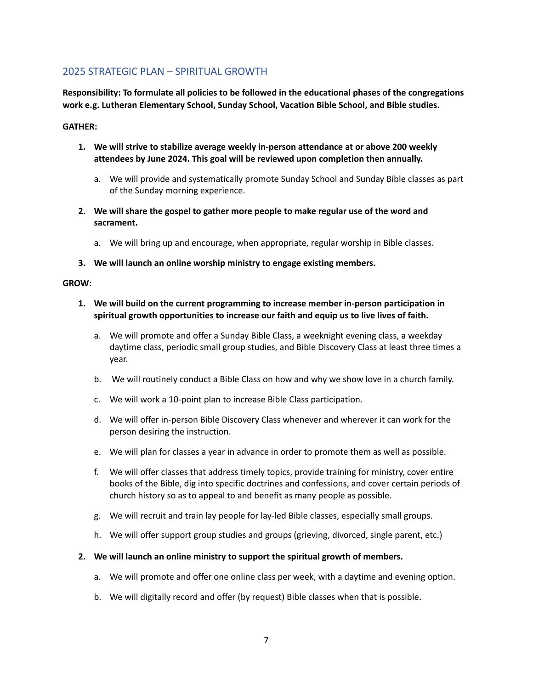# 2025 STRATEGIC PLAN – SPIRITUAL GROWTH

**Responsibility: To formulate all policies to be followed in the educational phases of the congregations work e.g. Lutheran Elementary School, Sunday School, Vacation Bible School, and Bible studies.**

#### **GATHER:**

- **1. We will strive to stabilize average weekly in-person attendance at or above 200 weekly attendees by June 2024. This goal will be reviewed upon completion then annually.**
	- a. We will provide and systematically promote Sunday School and Sunday Bible classes as part of the Sunday morning experience.
- **2. We will share the gospel to gather more people to make regular use of the word and sacrament.**
	- a. We will bring up and encourage, when appropriate, regular worship in Bible classes.
- **3. We will launch an online worship ministry to engage existing members.**

#### **GROW:**

- **1. We will build on the current programming to increase member in-person participation in spiritual growth opportunities to increase our faith and equip us to live lives of faith.**
	- a. We will promote and offer a Sunday Bible Class, a weeknight evening class, a weekday daytime class, periodic small group studies, and Bible Discovery Class at least three times a year.
	- b. We will routinely conduct a Bible Class on how and why we show love in a church family.
	- c. We will work a 10-point plan to increase Bible Class participation.
	- d. We will offer in-person Bible Discovery Class whenever and wherever it can work for the person desiring the instruction.
	- e. We will plan for classes a year in advance in order to promote them as well as possible.
	- f. We will offer classes that address timely topics, provide training for ministry, cover entire books of the Bible, dig into specific doctrines and confessions, and cover certain periods of church history so as to appeal to and benefit as many people as possible.
	- g. We will recruit and train lay people for lay-led Bible classes, especially small groups.
	- h. We will offer support group studies and groups (grieving, divorced, single parent, etc.)
- **2. We will launch an online ministry to support the spiritual growth of members.**
	- a. We will promote and offer one online class per week, with a daytime and evening option.
	- b. We will digitally record and offer (by request) Bible classes when that is possible.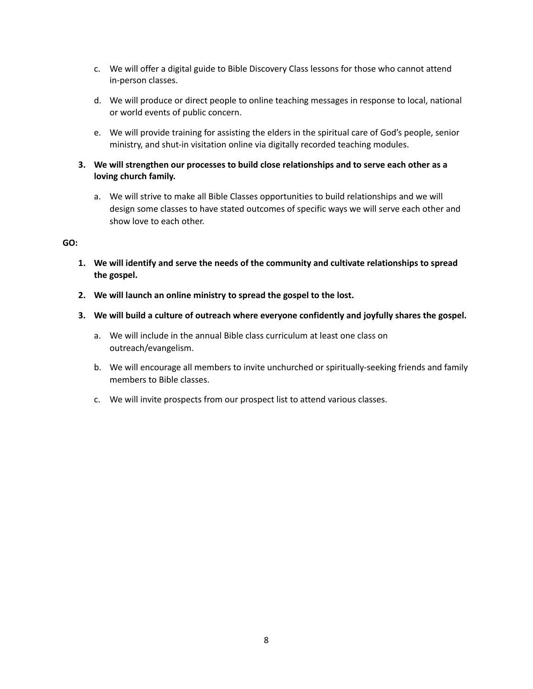- c. We will offer a digital guide to Bible Discovery Class lessons for those who cannot attend in-person classes.
- d. We will produce or direct people to online teaching messages in response to local, national or world events of public concern.
- e. We will provide training for assisting the elders in the spiritual care of God's people, senior ministry, and shut-in visitation online via digitally recorded teaching modules.
- **3. We will strengthen our processes to build close relationships and to serve each other as a loving church family.**
	- a. We will strive to make all Bible Classes opportunities to build relationships and we will design some classes to have stated outcomes of specific ways we will serve each other and show love to each other.

- **1. We will identify and serve the needs of the community and cultivate relationships to spread the gospel.**
- **2. We will launch an online ministry to spread the gospel to the lost.**
- **3. We will build a culture of outreach where everyone confidently and joyfully shares the gospel.**
	- a. We will include in the annual Bible class curriculum at least one class on outreach/evangelism.
	- b. We will encourage all members to invite unchurched or spiritually-seeking friends and family members to Bible classes.
	- c. We will invite prospects from our prospect list to attend various classes.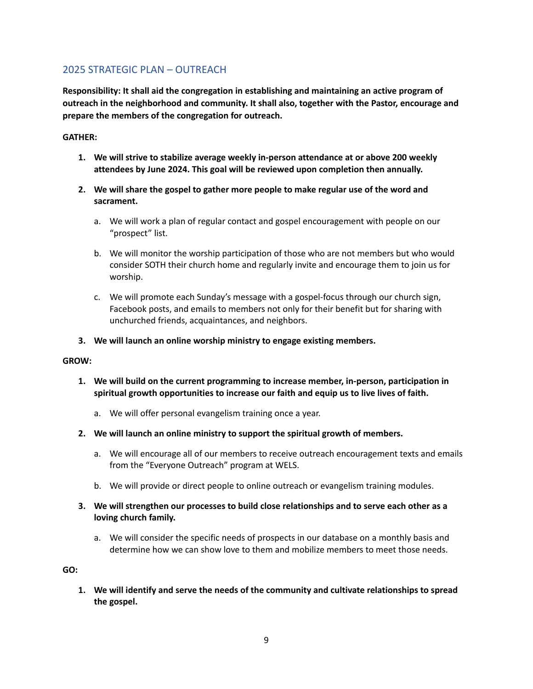## 2025 STRATEGIC PLAN – OUTREACH

**Responsibility: It shall aid the congregation in establishing and maintaining an active program of outreach in the neighborhood and community. It shall also, together with the Pastor, encourage and prepare the members of the congregation for outreach.**

#### **GATHER:**

- **1. We will strive to stabilize average weekly in-person attendance at or above 200 weekly attendees by June 2024. This goal will be reviewed upon completion then annually.**
- **2. We will share the gospel to gather more people to make regular use of the word and sacrament.**
	- a. We will work a plan of regular contact and gospel encouragement with people on our "prospect" list.
	- b. We will monitor the worship participation of those who are not members but who would consider SOTH their church home and regularly invite and encourage them to join us for worship.
	- c. We will promote each Sunday's message with a gospel-focus through our church sign, Facebook posts, and emails to members not only for their benefit but for sharing with unchurched friends, acquaintances, and neighbors.
- **3. We will launch an online worship ministry to engage existing members.**

#### **GROW:**

- **1. We will build on the current programming to increase member, in-person, participation in spiritual growth opportunities to increase our faith and equip us to live lives of faith.**
	- a. We will offer personal evangelism training once a year.
- **2. We will launch an online ministry to support the spiritual growth of members.**
	- a. We will encourage all of our members to receive outreach encouragement texts and emails from the "Everyone Outreach" program at WELS.
	- b. We will provide or direct people to online outreach or evangelism training modules.
- **3. We will strengthen our processes to build close relationships and to serve each other as a loving church family.**
	- a. We will consider the specific needs of prospects in our database on a monthly basis and determine how we can show love to them and mobilize members to meet those needs.

**GO:**

**1. We will identify and serve the needs of the community and cultivate relationships to spread the gospel.**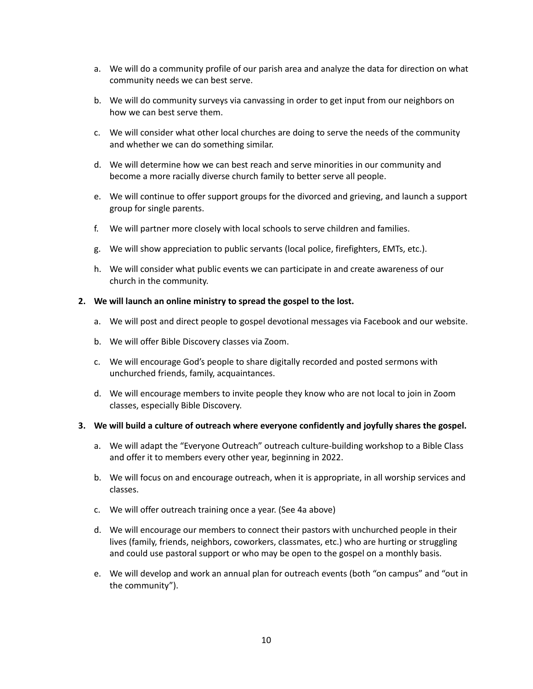- a. We will do a community profile of our parish area and analyze the data for direction on what community needs we can best serve.
- b. We will do community surveys via canvassing in order to get input from our neighbors on how we can best serve them.
- c. We will consider what other local churches are doing to serve the needs of the community and whether we can do something similar.
- d. We will determine how we can best reach and serve minorities in our community and become a more racially diverse church family to better serve all people.
- e. We will continue to offer support groups for the divorced and grieving, and launch a support group for single parents.
- f. We will partner more closely with local schools to serve children and families.
- g. We will show appreciation to public servants (local police, firefighters, EMTs, etc.).
- h. We will consider what public events we can participate in and create awareness of our church in the community.

#### **2. We will launch an online ministry to spread the gospel to the lost.**

- a. We will post and direct people to gospel devotional messages via Facebook and our website.
- b. We will offer Bible Discovery classes via Zoom.
- c. We will encourage God's people to share digitally recorded and posted sermons with unchurched friends, family, acquaintances.
- d. We will encourage members to invite people they know who are not local to join in Zoom classes, especially Bible Discovery.

#### **3. We will build a culture of outreach where everyone confidently and joyfully shares the gospel.**

- a. We will adapt the "Everyone Outreach" outreach culture-building workshop to a Bible Class and offer it to members every other year, beginning in 2022.
- b. We will focus on and encourage outreach, when it is appropriate, in all worship services and classes.
- c. We will offer outreach training once a year. (See 4a above)
- d. We will encourage our members to connect their pastors with unchurched people in their lives (family, friends, neighbors, coworkers, classmates, etc.) who are hurting or struggling and could use pastoral support or who may be open to the gospel on a monthly basis.
- e. We will develop and work an annual plan for outreach events (both "on campus" and "out in the community").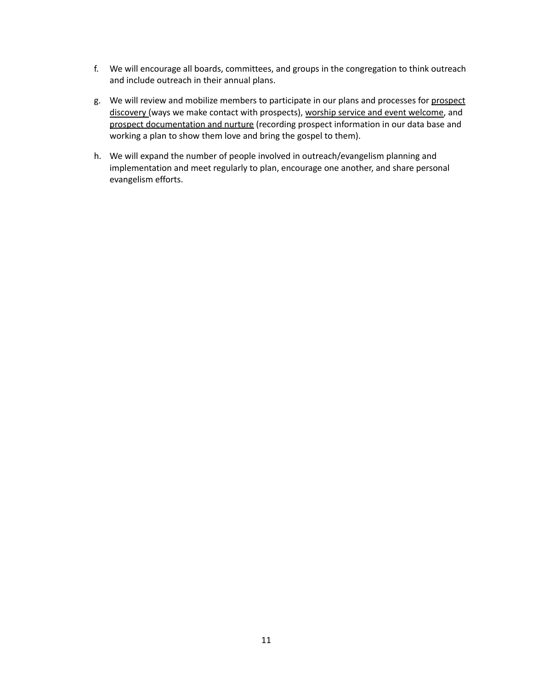- f. We will encourage all boards, committees, and groups in the congregation to think outreach and include outreach in their annual plans.
- g. We will review and mobilize members to participate in our plans and processes for prospect discovery (ways we make contact with prospects), worship service and event welcome, and prospect documentation and nurture (recording prospect information in our data base and working a plan to show them love and bring the gospel to them).
- h. We will expand the number of people involved in outreach/evangelism planning and implementation and meet regularly to plan, encourage one another, and share personal evangelism efforts.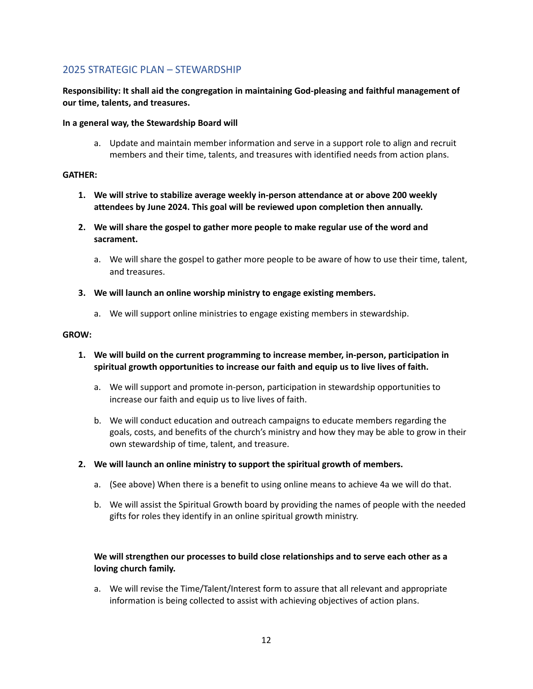## 2025 STRATEGIC PLAN – STEWARDSHIP

#### **Responsibility: It shall aid the congregation in maintaining God-pleasing and faithful management of our time, talents, and treasures.**

#### **In a general way, the Stewardship Board will**

a. Update and maintain member information and serve in a support role to align and recruit members and their time, talents, and treasures with identified needs from action plans.

#### **GATHER:**

- **1. We will strive to stabilize average weekly in-person attendance at or above 200 weekly attendees by June 2024. This goal will be reviewed upon completion then annually.**
- **2. We will share the gospel to gather more people to make regular use of the word and sacrament.**
	- a. We will share the gospel to gather more people to be aware of how to use their time, talent, and treasures.
- **3. We will launch an online worship ministry to engage existing members.**
	- a. We will support online ministries to engage existing members in stewardship.

#### **GROW:**

- **1. We will build on the current programming to increase member, in-person, participation in spiritual growth opportunities to increase our faith and equip us to live lives of faith.**
	- a. We will support and promote in-person, participation in stewardship opportunities to increase our faith and equip us to live lives of faith.
	- b. We will conduct education and outreach campaigns to educate members regarding the goals, costs, and benefits of the church's ministry and how they may be able to grow in their own stewardship of time, talent, and treasure.
- **2. We will launch an online ministry to support the spiritual growth of members.**
	- a. (See above) When there is a benefit to using online means to achieve 4a we will do that.
	- b. We will assist the Spiritual Growth board by providing the names of people with the needed gifts for roles they identify in an online spiritual growth ministry.

#### **We will strengthen our processes to build close relationships and to serve each other as a loving church family.**

a. We will revise the Time/Talent/Interest form to assure that all relevant and appropriate information is being collected to assist with achieving objectives of action plans.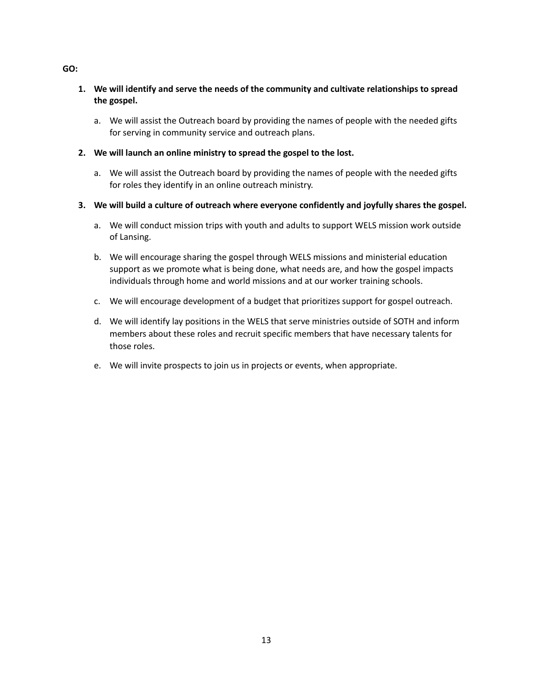#### **1. We will identify and serve the needs of the community and cultivate relationships to spread the gospel.**

- a. We will assist the Outreach board by providing the names of people with the needed gifts for serving in community service and outreach plans.
- **2. We will launch an online ministry to spread the gospel to the lost.**
	- a. We will assist the Outreach board by providing the names of people with the needed gifts for roles they identify in an online outreach ministry.
- **3. We will build a culture of outreach where everyone confidently and joyfully shares the gospel.**
	- a. We will conduct mission trips with youth and adults to support WELS mission work outside of Lansing.
	- b. We will encourage sharing the gospel through WELS missions and ministerial education support as we promote what is being done, what needs are, and how the gospel impacts individuals through home and world missions and at our worker training schools.
	- c. We will encourage development of a budget that prioritizes support for gospel outreach.
	- d. We will identify lay positions in the WELS that serve ministries outside of SOTH and inform members about these roles and recruit specific members that have necessary talents for those roles.
	- e. We will invite prospects to join us in projects or events, when appropriate.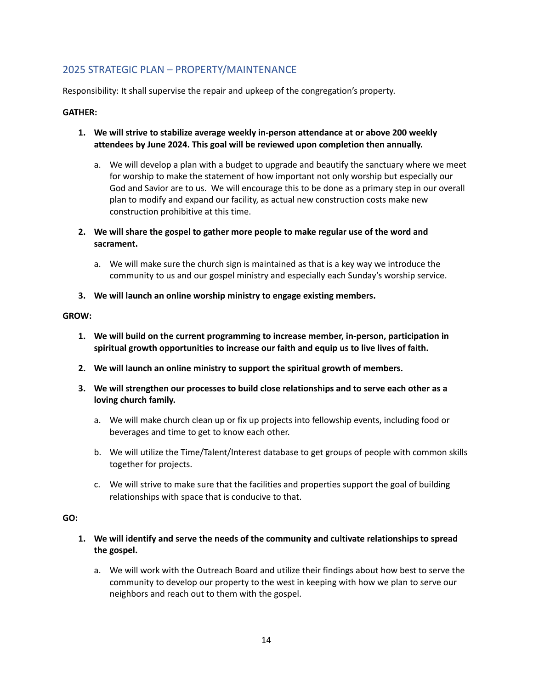# 2025 STRATEGIC PLAN – PROPERTY/MAINTENANCE

Responsibility: It shall supervise the repair and upkeep of the congregation's property.

#### **GATHER:**

- **1. We will strive to stabilize average weekly in-person attendance at or above 200 weekly attendees by June 2024. This goal will be reviewed upon completion then annually.**
	- a. We will develop a plan with a budget to upgrade and beautify the sanctuary where we meet for worship to make the statement of how important not only worship but especially our God and Savior are to us. We will encourage this to be done as a primary step in our overall plan to modify and expand our facility, as actual new construction costs make new construction prohibitive at this time.
- **2. We will share the gospel to gather more people to make regular use of the word and sacrament.**
	- a. We will make sure the church sign is maintained as that is a key way we introduce the community to us and our gospel ministry and especially each Sunday's worship service.
- **3. We will launch an online worship ministry to engage existing members.**

#### **GROW:**

- **1. We will build on the current programming to increase member, in-person, participation in spiritual growth opportunities to increase our faith and equip us to live lives of faith.**
- **2. We will launch an online ministry to support the spiritual growth of members.**
- **3. We will strengthen our processes to build close relationships and to serve each other as a loving church family.**
	- a. We will make church clean up or fix up projects into fellowship events, including food or beverages and time to get to know each other.
	- b. We will utilize the Time/Talent/Interest database to get groups of people with common skills together for projects.
	- c. We will strive to make sure that the facilities and properties support the goal of building relationships with space that is conducive to that.

- **1. We will identify and serve the needs of the community and cultivate relationships to spread the gospel.**
	- a. We will work with the Outreach Board and utilize their findings about how best to serve the community to develop our property to the west in keeping with how we plan to serve our neighbors and reach out to them with the gospel.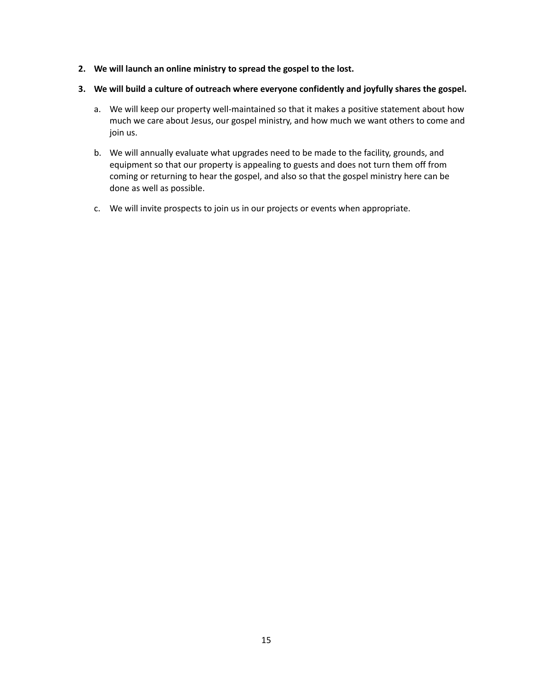- **2. We will launch an online ministry to spread the gospel to the lost.**
- **3. We will build a culture of outreach where everyone confidently and joyfully shares the gospel.**
	- a. We will keep our property well-maintained so that it makes a positive statement about how much we care about Jesus, our gospel ministry, and how much we want others to come and join us.
	- b. We will annually evaluate what upgrades need to be made to the facility, grounds, and equipment so that our property is appealing to guests and does not turn them off from coming or returning to hear the gospel, and also so that the gospel ministry here can be done as well as possible.
	- c. We will invite prospects to join us in our projects or events when appropriate.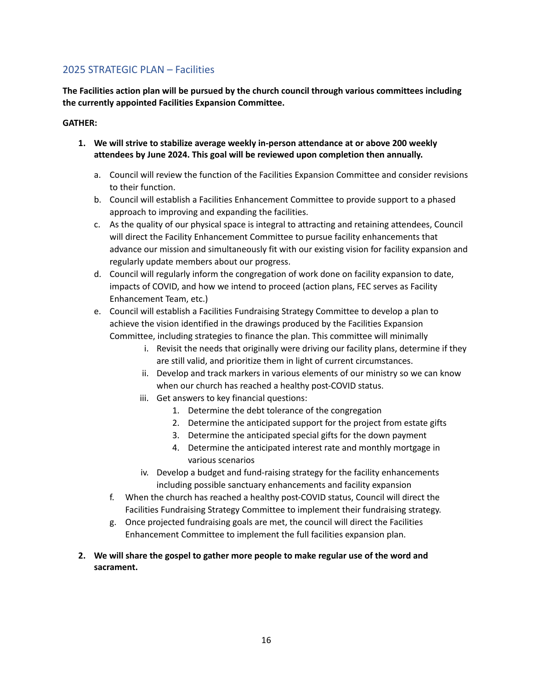## 2025 STRATEGIC PLAN – Facilities

**The Facilities action plan will be pursued by the church council through various committees including the currently appointed Facilities Expansion Committee.**

#### **GATHER:**

- **1. We will strive to stabilize average weekly in-person attendance at or above 200 weekly attendees by June 2024. This goal will be reviewed upon completion then annually.**
	- a. Council will review the function of the Facilities Expansion Committee and consider revisions to their function.
	- b. Council will establish a Facilities Enhancement Committee to provide support to a phased approach to improving and expanding the facilities.
	- c. As the quality of our physical space is integral to attracting and retaining attendees, Council will direct the Facility Enhancement Committee to pursue facility enhancements that advance our mission and simultaneously fit with our existing vision for facility expansion and regularly update members about our progress.
	- d. Council will regularly inform the congregation of work done on facility expansion to date, impacts of COVID, and how we intend to proceed (action plans, FEC serves as Facility Enhancement Team, etc.)
	- e. Council will establish a Facilities Fundraising Strategy Committee to develop a plan to achieve the vision identified in the drawings produced by the Facilities Expansion Committee, including strategies to finance the plan. This committee will minimally
		- i. Revisit the needs that originally were driving our facility plans, determine if they are still valid, and prioritize them in light of current circumstances.
		- ii. Develop and track markers in various elements of our ministry so we can know when our church has reached a healthy post-COVID status.
		- iii. Get answers to key financial questions:
			- 1. Determine the debt tolerance of the congregation
			- 2. Determine the anticipated support for the project from estate gifts
			- 3. Determine the anticipated special gifts for the down payment
			- 4. Determine the anticipated interest rate and monthly mortgage in various scenarios
		- iv. Develop a budget and fund-raising strategy for the facility enhancements including possible sanctuary enhancements and facility expansion
		- f. When the church has reached a healthy post-COVID status, Council will direct the Facilities Fundraising Strategy Committee to implement their fundraising strategy.
		- g. Once projected fundraising goals are met, the council will direct the Facilities Enhancement Committee to implement the full facilities expansion plan.

#### **2. We will share the gospel to gather more people to make regular use of the word and sacrament.**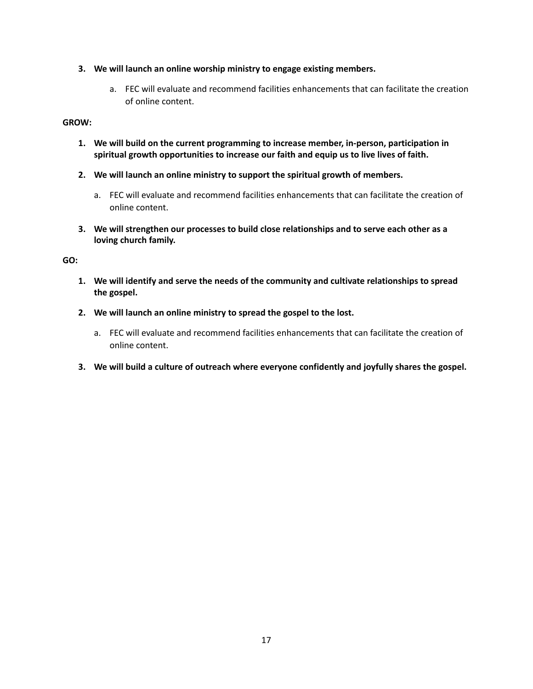- **3. We will launch an online worship ministry to engage existing members.**
	- a. FEC will evaluate and recommend facilities enhancements that can facilitate the creation of online content.

#### **GROW:**

- **1. We will build on the current programming to increase member, in-person, participation in spiritual growth opportunities to increase our faith and equip us to live lives of faith.**
- **2. We will launch an online ministry to support the spiritual growth of members.**
	- a. FEC will evaluate and recommend facilities enhancements that can facilitate the creation of online content.
- **3. We will strengthen our processes to build close relationships and to serve each other as a loving church family.**

- **1. We will identify and serve the needs of the community and cultivate relationships to spread the gospel.**
- **2. We will launch an online ministry to spread the gospel to the lost.**
	- a. FEC will evaluate and recommend facilities enhancements that can facilitate the creation of online content.
- **3. We will build a culture of outreach where everyone confidently and joyfully shares the gospel.**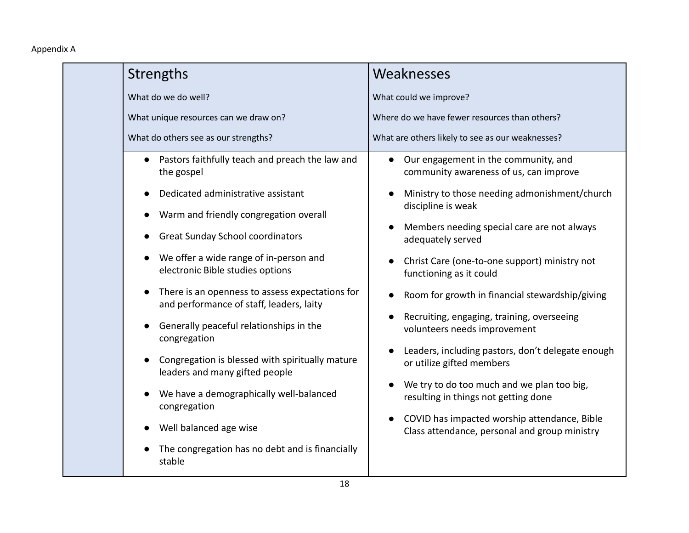# Appendix A

|  | Strengths                                                                                                                                    | Weaknesses                                                                                                 |
|--|----------------------------------------------------------------------------------------------------------------------------------------------|------------------------------------------------------------------------------------------------------------|
|  | What do we do well?                                                                                                                          | What could we improve?                                                                                     |
|  | What unique resources can we draw on?                                                                                                        | Where do we have fewer resources than others?                                                              |
|  | What do others see as our strengths?                                                                                                         | What are others likely to see as our weaknesses?                                                           |
|  | Pastors faithfully teach and preach the law and<br>the gospel                                                                                | Our engagement in the community, and<br>$\bullet$<br>community awareness of us, can improve                |
|  | Dedicated administrative assistant<br>Warm and friendly congregation overall<br><b>Great Sunday School coordinators</b>                      | Ministry to those needing admonishment/church<br>discipline is weak                                        |
|  |                                                                                                                                              | Members needing special care are not always<br>adequately served                                           |
|  | We offer a wide range of in-person and<br>electronic Bible studies options                                                                   | Christ Care (one-to-one support) ministry not<br>functioning as it could                                   |
|  | There is an openness to assess expectations for<br>and performance of staff, leaders, laity                                                  | Room for growth in financial stewardship/giving                                                            |
|  | Generally peaceful relationships in the<br>congregation<br>Congregation is blessed with spiritually mature<br>leaders and many gifted people | Recruiting, engaging, training, overseeing<br>volunteers needs improvement                                 |
|  |                                                                                                                                              | Leaders, including pastors, don't delegate enough<br>or utilize gifted members                             |
|  | We have a demographically well-balanced<br>congregation                                                                                      | We try to do too much and we plan too big,<br>resulting in things not getting done                         |
|  | Well balanced age wise                                                                                                                       | COVID has impacted worship attendance, Bible<br>$\bullet$<br>Class attendance, personal and group ministry |
|  | The congregation has no debt and is financially<br>stable                                                                                    |                                                                                                            |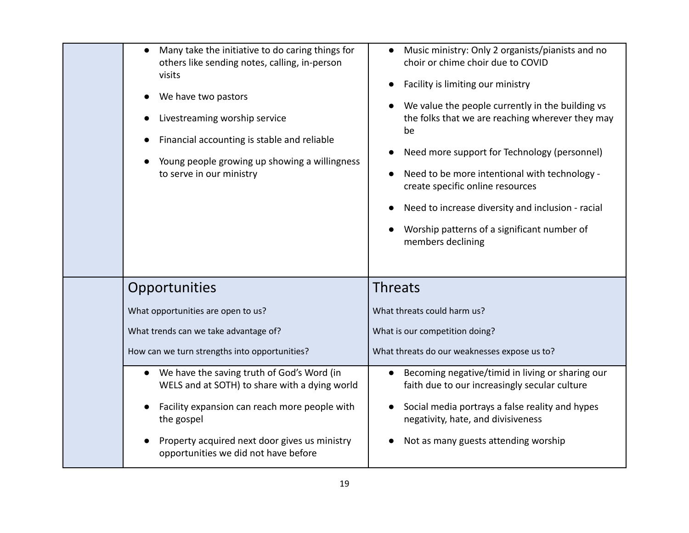| visits<br>We have two pastors<br>Livestreaming worship service<br>to serve in our ministry | Many take the initiative to do caring things for<br>others like sending notes, calling, in-person<br>Financial accounting is stable and reliable<br>Young people growing up showing a willingness | Music ministry: Only 2 organists/pianists and no<br>choir or chime choir due to COVID<br>Facility is limiting our ministry<br>We value the people currently in the building vs<br>the folks that we are reaching wherever they may<br>be<br>Need more support for Technology (personnel)<br>Need to be more intentional with technology -<br>create specific online resources<br>Need to increase diversity and inclusion - racial<br>Worship patterns of a significant number of<br>members declining |  |  |
|--------------------------------------------------------------------------------------------|---------------------------------------------------------------------------------------------------------------------------------------------------------------------------------------------------|--------------------------------------------------------------------------------------------------------------------------------------------------------------------------------------------------------------------------------------------------------------------------------------------------------------------------------------------------------------------------------------------------------------------------------------------------------------------------------------------------------|--|--|
| Opportunities                                                                              |                                                                                                                                                                                                   | <b>Threats</b>                                                                                                                                                                                                                                                                                                                                                                                                                                                                                         |  |  |
| What opportunities are open to us?                                                         |                                                                                                                                                                                                   | What threats could harm us?                                                                                                                                                                                                                                                                                                                                                                                                                                                                            |  |  |
| What trends can we take advantage of?                                                      |                                                                                                                                                                                                   | What is our competition doing?                                                                                                                                                                                                                                                                                                                                                                                                                                                                         |  |  |
| How can we turn strengths into opportunities?                                              |                                                                                                                                                                                                   | What threats do our weaknesses expose us to?                                                                                                                                                                                                                                                                                                                                                                                                                                                           |  |  |
| the gospel<br>Property acquired next door gives us ministry                                | We have the saving truth of God's Word (in<br>WELS and at SOTH) to share with a dying world<br>Facility expansion can reach more people with                                                      | Becoming negative/timid in living or sharing our<br>$\bullet$<br>faith due to our increasingly secular culture<br>Social media portrays a false reality and hypes<br>negativity, hate, and divisiveness                                                                                                                                                                                                                                                                                                |  |  |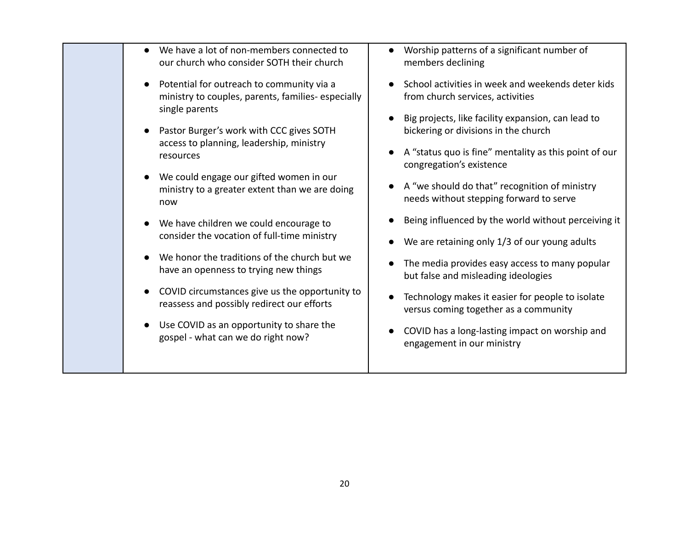| We have a lot of non-members connected to<br>our church who consider SOTH their church                                                                                                                                                                                                                                                                                  | Worship patterns of a significant number of<br>members declining                                                                                                                                                                                                                                                                                                                                                      |
|-------------------------------------------------------------------------------------------------------------------------------------------------------------------------------------------------------------------------------------------------------------------------------------------------------------------------------------------------------------------------|-----------------------------------------------------------------------------------------------------------------------------------------------------------------------------------------------------------------------------------------------------------------------------------------------------------------------------------------------------------------------------------------------------------------------|
| Potential for outreach to community via a<br>ministry to couples, parents, families-especially<br>single parents<br>Pastor Burger's work with CCC gives SOTH<br>access to planning, leadership, ministry<br>resources<br>We could engage our gifted women in our<br>ministry to a greater extent than we are doing                                                      | School activities in week and weekends deter kids<br>from church services, activities<br>Big projects, like facility expansion, can lead to<br>bickering or divisions in the church<br>A "status quo is fine" mentality as this point of our<br>congregation's existence<br>A "we should do that" recognition of ministry                                                                                             |
| now<br>We have children we could encourage to<br>consider the vocation of full-time ministry<br>We honor the traditions of the church but we<br>have an openness to trying new things<br>COVID circumstances give us the opportunity to<br>reassess and possibly redirect our efforts<br>Use COVID as an opportunity to share the<br>gospel - what can we do right now? | needs without stepping forward to serve<br>Being influenced by the world without perceiving it<br>We are retaining only 1/3 of our young adults<br>The media provides easy access to many popular<br>but false and misleading ideologies<br>Technology makes it easier for people to isolate<br>versus coming together as a community<br>COVID has a long-lasting impact on worship and<br>engagement in our ministry |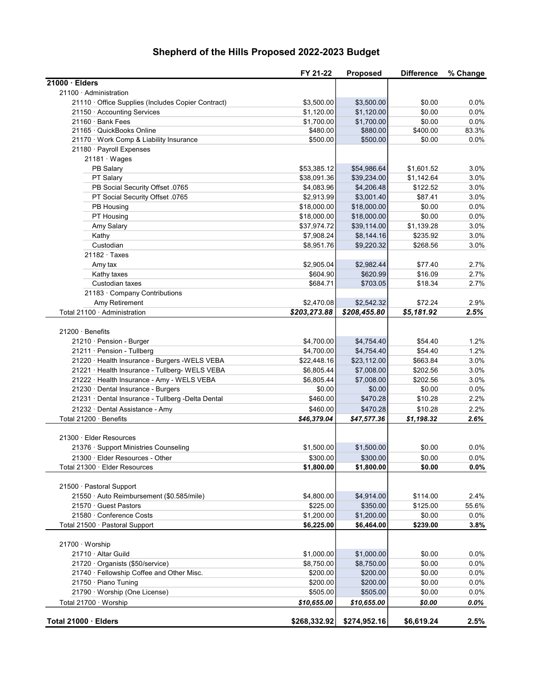# Shepherd of the Hills Proposed 2022-2023 Budget

|                                                    | FY 21-22     | <b>Proposed</b>        | <b>Difference</b>  | % Change |
|----------------------------------------------------|--------------|------------------------|--------------------|----------|
| $21000 \cdot$ Elders                               |              |                        |                    |          |
| 21100 · Administration                             |              |                        |                    |          |
| 21110 · Office Supplies (Includes Copier Contract) | \$3,500.00   | \$3,500.00             | \$0.00             | 0.0%     |
| 21150 · Accounting Services                        | \$1,120.00   | \$1,120.00             | \$0.00             | 0.0%     |
| 21160 · Bank Fees                                  | \$1,700.00   | \$1,700.00             | \$0.00             | 0.0%     |
| 21165 · QuickBooks Online                          | \$480.00     | \$880.00               | \$400.00           | 83.3%    |
| 21170 · Work Comp & Liability Insurance            | \$500.00     | \$500.00               | \$0.00             | 0.0%     |
| 21180 · Payroll Expenses                           |              |                        |                    |          |
| $21181 \cdot Wages$                                |              |                        |                    |          |
| PB Salary                                          | \$53,385.12  | \$54,986.64            | \$1,601.52         | 3.0%     |
| PT Salary                                          | \$38,091.36  | \$39,234.00            | \$1,142.64         | 3.0%     |
| PB Social Security Offset .0765                    | \$4,083.96   | \$4,206.48             | \$122.52           | 3.0%     |
| PT Social Security Offset .0765                    | \$2,913.99   | \$3,001.40             | \$87.41            | 3.0%     |
| PB Housing                                         | \$18,000.00  | \$18,000.00            | \$0.00             | 0.0%     |
| PT Housing                                         | \$18,000.00  | \$18,000.00            | \$0.00             | 0.0%     |
| Amy Salary                                         | \$37,974.72  | \$39,114.00            | \$1,139.28         | 3.0%     |
| Kathy                                              | \$7,908.24   | \$8,144.16             | \$235.92           | 3.0%     |
| Custodian                                          | \$8,951.76   | \$9,220.32             | \$268.56           | 3.0%     |
| $21182 \cdot$ Taxes                                |              |                        |                    |          |
| Amy tax                                            | \$2,905.04   | \$2,982.44             | \$77.40            | 2.7%     |
| Kathy taxes                                        | \$604.90     | \$620.99               | \$16.09            | 2.7%     |
| Custodian taxes                                    | \$684.71     | \$703.05               | \$18.34            | 2.7%     |
| 21183 · Company Contributions                      |              |                        |                    |          |
| Amy Retirement                                     | \$2,470.08   | \$2,542.32             | \$72.24            | 2.9%     |
| Total 21100 · Administration                       | \$203,273.88 | \$208,455.80           | \$5,181.92         | 2.5%     |
|                                                    |              |                        |                    |          |
| 21200 · Benefits                                   |              |                        |                    |          |
| 21210 · Pension - Burger                           | \$4,700.00   | \$4,754.40             | \$54.40            | 1.2%     |
| 21211 · Pension - Tullberg                         | \$4,700.00   | \$4,754.40             | \$54.40            | 1.2%     |
| 21220 · Health Insurance - Burgers - WELS VEBA     | \$22,448.16  | \$23,112.00            | \$663.84           | 3.0%     |
| 21221 · Health Insurance - Tullberg- WELS VEBA     | \$6,805.44   | \$7,008.00             | \$202.56           | 3.0%     |
| 21222 · Health Insurance - Amy - WELS VEBA         | \$6,805.44   | \$7,008.00             | \$202.56           | 3.0%     |
| 21230 · Dental Insurance - Burgers                 | \$0.00       | \$0.00                 | \$0.00             | 0.0%     |
| 21231 · Dental Insurance - Tullberg -Delta Dental  | \$460.00     | \$470.28               | \$10.28            | 2.2%     |
| 21232 · Dental Assistance - Amy                    | \$460.00     | \$470.28               | \$10.28            | 2.2%     |
| Total 21200 · Benefits                             | \$46,379.04  | \$47,577.36            | \$1,198.32         | 2.6%     |
|                                                    |              |                        |                    |          |
| 21300 · Elder Resources                            |              |                        |                    |          |
| 21376 · Support Ministries Counseling              | \$1,500.00   | \$1,500.00             | \$0.00             | 0.0%     |
| 21300 · Elder Resources - Other                    | \$300.00     | \$300.00               | \$0.00             | $0.0\%$  |
| Total 21300 · Elder Resources                      | \$1,800.00   | \$1,800.00             | \$0.00             | 0.0%     |
|                                                    |              |                        |                    |          |
| 21500 · Pastoral Support                           |              |                        |                    |          |
| 21550 · Auto Reimbursement (\$0.585/mile)          | \$4,800.00   | \$4,914.00<br>\$350.00 | \$114.00           | 2.4%     |
| 21570 · Guest Pastors                              | \$225.00     |                        | \$125.00           | 55.6%    |
| 21580 · Conference Costs                           | \$1,200.00   | \$1,200.00             | \$0.00<br>\$239.00 | $0.0\%$  |
| Total 21500 · Pastoral Support                     | \$6,225.00   | \$6,464.00             |                    | 3.8%     |
| 21700 · Worship                                    |              |                        |                    |          |
| 21710 · Altar Guild                                | \$1,000.00   | \$1,000.00             | \$0.00             | $0.0\%$  |
| 21720 · Organists (\$50/service)                   | \$8,750.00   | \$8,750.00             | \$0.00             | 0.0%     |
| 21740 · Fellowship Coffee and Other Misc.          | \$200.00     | \$200.00               | \$0.00             | 0.0%     |
| 21750 · Piano Tuning                               | \$200.00     | \$200.00               | \$0.00             | 0.0%     |
| 21790 · Worship (One License)                      | \$505.00     | \$505.00               | \$0.00             | 0.0%     |
| Total 21700 · Worship                              | \$10,655.00  | \$10,655.00            | \$0.00             | $0.0\%$  |
|                                                    |              |                        |                    |          |
| Total 21000 · Elders                               | \$268,332.92 | \$274,952.16           | \$6,619.24         | 2.5%     |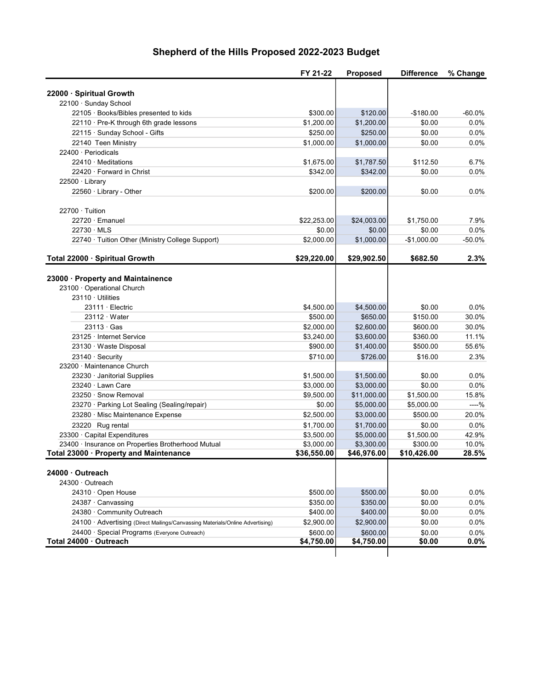# Shepherd of the Hills Proposed 2022-2023 Budget

|                                                                                              | FY 21-22                  | <b>Proposed</b>           | <b>Difference</b>       | % Change       |
|----------------------------------------------------------------------------------------------|---------------------------|---------------------------|-------------------------|----------------|
|                                                                                              |                           |                           |                         |                |
| 22000 · Spiritual Growth                                                                     |                           |                           |                         |                |
| 22100 · Sunday School                                                                        |                           |                           |                         |                |
| 22105 · Books/Bibles presented to kids                                                       | \$300.00                  | \$120.00                  | $-$180.00$              | $-60.0%$       |
| 22110 · Pre-K through 6th grade lessons                                                      | \$1,200.00                | \$1,200.00                | \$0.00                  | 0.0%           |
| 22115 · Sunday School - Gifts                                                                | \$250.00                  | \$250.00                  | \$0.00                  | 0.0%           |
| 22140 Teen Ministry                                                                          | \$1,000.00                | \$1,000.00                | \$0.00                  | 0.0%           |
| 22400 · Periodicals                                                                          |                           |                           |                         |                |
| $22410 \cdot$ Meditations                                                                    | \$1,675.00                | \$1,787.50                | \$112.50                | 6.7%           |
| 22420 · Forward in Christ                                                                    | \$342.00                  | \$342.00                  | \$0.00                  | 0.0%           |
| 22500 · Library                                                                              |                           |                           |                         |                |
| 22560 · Library - Other                                                                      | \$200.00                  | \$200.00                  | \$0.00                  | $0.0\%$        |
| $22700 \cdot$ Tuition                                                                        |                           |                           |                         |                |
| 22720 · Emanuel                                                                              | \$22,253.00               | \$24,003.00               | \$1,750.00              | 7.9%           |
| $22730 \cdot MLS$                                                                            | \$0.00                    | \$0.00                    | \$0.00                  | $0.0\%$        |
| 22740 · Tuition Other (Ministry College Support)                                             | \$2,000.00                | \$1,000.00                | $-$1,000.00$            | -50.0%         |
|                                                                                              |                           |                           |                         |                |
| Total 22000 · Spiritual Growth                                                               | \$29,220.00               | \$29,902.50               | \$682.50                | 2.3%           |
|                                                                                              |                           |                           |                         |                |
| 23000 · Property and Maintainence                                                            |                           |                           |                         |                |
| 23100 · Operational Church                                                                   |                           |                           |                         |                |
| $23110 \cdot$ Utilities                                                                      |                           |                           |                         |                |
| $23111 \cdot$ Electric                                                                       | \$4,500.00                | \$4,500.00                | \$0.00                  | $0.0\%$        |
| $23112 \cdot Water$                                                                          | \$500.00                  | \$650.00                  | \$150.00                | 30.0%          |
| $23113 \cdot Gas$                                                                            | \$2,000.00                | \$2,600.00                | \$600.00                | 30.0%          |
| 23125 · Internet Service                                                                     | \$3,240.00                | \$3,600.00                | \$360.00                | 11.1%          |
| 23130 · Waste Disposal                                                                       | \$900.00                  | \$1,400.00                | \$500.00                | 55.6%          |
| 23140 · Security                                                                             | \$710.00                  | \$726.00                  | \$16.00                 | 2.3%           |
| 23200 · Maintenance Church                                                                   |                           |                           |                         |                |
| 23230 · Janitorial Supplies                                                                  | \$1,500.00                | \$1,500.00                | \$0.00                  | 0.0%           |
| 23240 · Lawn Care                                                                            | \$3,000.00                | \$3,000.00                | \$0.00                  | $0.0\%$        |
| 23250 · Snow Removal                                                                         | \$9,500.00                | \$11,000.00               | \$1,500.00              | 15.8%          |
| 23270 · Parking Lot Sealing (Sealing/repair)                                                 | \$0.00                    | \$5,000.00                | \$5,000.00              | ----%          |
| 23280 · Misc Maintenance Expense                                                             | \$2,500.00                | \$3,000.00                | \$500.00                | 20.0%          |
| 23220 Rug rental                                                                             | \$1,700.00                | \$1,700.00                | \$0.00                  | 0.0%           |
| 23300 · Capital Expenditures                                                                 | \$3,500.00                | \$5,000.00                | \$1,500.00              | 42.9%          |
| 23400 · Insurance on Properties Brotherhood Mutual<br>Total 23000 · Property and Maintenance | \$3,000.00<br>\$36,550.00 | \$3,300.00<br>\$46,976.00 | \$300.00<br>\$10,426.00 | 10.0%<br>28.5% |
|                                                                                              |                           |                           |                         |                |
| 24000 · Outreach                                                                             |                           |                           |                         |                |
| 24300 · Outreach                                                                             |                           |                           |                         |                |
| 24310 · Open House                                                                           | \$500.00                  | \$500.00                  | \$0.00                  | $0.0\%$        |
| 24387 · Canvassing                                                                           | \$350.00                  | \$350.00                  | \$0.00                  | 0.0%           |
| 24380 · Community Outreach                                                                   | \$400.00                  | \$400.00                  | \$0.00                  | 0.0%           |
| 24100 · Advertising (Direct Mailings/Canvassing Materials/Online Advertising)                | \$2,900.00                | \$2,900.00                | \$0.00                  | 0.0%           |
| 24400 · Special Programs (Everyone Outreach)                                                 | \$600.00                  | \$600.00                  | \$0.00                  | $0.0\%$        |
| Total 24000 · Outreach                                                                       | \$4,750.00                | \$4,750.00                | \$0.00                  | 0.0%           |
|                                                                                              |                           |                           |                         |                |